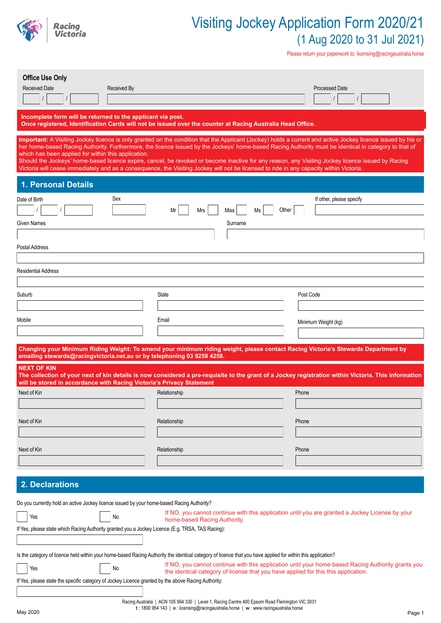

Please return your paperwork to: licensing@racingaustralia.horse

| <b>Office Use Only</b><br><b>Received Date</b><br><b>Received By</b>                                                                                                                                                                                                             |                                                                                                                                                                                         | <b>Processed Date</b>                                                                                                                                                                                                                                                                                                                                                                                                                                                      |
|----------------------------------------------------------------------------------------------------------------------------------------------------------------------------------------------------------------------------------------------------------------------------------|-----------------------------------------------------------------------------------------------------------------------------------------------------------------------------------------|----------------------------------------------------------------------------------------------------------------------------------------------------------------------------------------------------------------------------------------------------------------------------------------------------------------------------------------------------------------------------------------------------------------------------------------------------------------------------|
| Incomplete form will be returned to the applicant via post.                                                                                                                                                                                                                      | Once registered, Identification Cards will not be issued over the counter at Racing Australia Head Office.                                                                              |                                                                                                                                                                                                                                                                                                                                                                                                                                                                            |
| which has been applied for within this application.<br>Victoria will cease immediately and as a consequence, the Visiting Jockey will not be licensed to ride in any capacity within Victoria                                                                                    |                                                                                                                                                                                         | Important: A Visiting Jockey licence is only granted on the condition that the Applicant (Jockey) holds a current and active Jockey licence issued by his or<br>her home-based Racing Authority. Furthermore, the licence issued by the Jockeys' home-based Racing Authority must be identical in category to that of<br>Should the Jockeys' home-based licence expire, cancel, be revoked or become inactive for any reason, any Visiting Jockey licence issued by Racing |
| <b>1. Personal Details</b>                                                                                                                                                                                                                                                       |                                                                                                                                                                                         |                                                                                                                                                                                                                                                                                                                                                                                                                                                                            |
| Sex<br>Date of Birth<br>Given Names                                                                                                                                                                                                                                              | Mrs<br>Ms<br>Mr<br>Miss<br>Surname                                                                                                                                                      | If other, please specify<br>Other                                                                                                                                                                                                                                                                                                                                                                                                                                          |
| Postal Address                                                                                                                                                                                                                                                                   |                                                                                                                                                                                         |                                                                                                                                                                                                                                                                                                                                                                                                                                                                            |
| <b>Residential Address</b>                                                                                                                                                                                                                                                       |                                                                                                                                                                                         |                                                                                                                                                                                                                                                                                                                                                                                                                                                                            |
| Suburb                                                                                                                                                                                                                                                                           | <b>State</b>                                                                                                                                                                            | Post Code                                                                                                                                                                                                                                                                                                                                                                                                                                                                  |
| Mobile                                                                                                                                                                                                                                                                           | Email                                                                                                                                                                                   | Minimum Weight (kg)                                                                                                                                                                                                                                                                                                                                                                                                                                                        |
|                                                                                                                                                                                                                                                                                  |                                                                                                                                                                                         | Changing your Minimum Riding Weight: To amend your minimum riding weight, please contact Racing Victoria's Stewards Department by                                                                                                                                                                                                                                                                                                                                          |
| emailing stewards@racingvictoria.net.au or by telephoning 03 9258 4258.<br><b>NEXT OF KIN</b>                                                                                                                                                                                    |                                                                                                                                                                                         |                                                                                                                                                                                                                                                                                                                                                                                                                                                                            |
| will be stored in accordance with Racing Victoria's Privacy Statement                                                                                                                                                                                                            |                                                                                                                                                                                         | The collection of your next of kin details is now considered a pre-requisite to the grant of a Jockey registration within Victoria. This information                                                                                                                                                                                                                                                                                                                       |
| Next of Kin                                                                                                                                                                                                                                                                      | Relationship                                                                                                                                                                            | Phone                                                                                                                                                                                                                                                                                                                                                                                                                                                                      |
| Next of Kin                                                                                                                                                                                                                                                                      | Relationship                                                                                                                                                                            | Phone                                                                                                                                                                                                                                                                                                                                                                                                                                                                      |
| Next of Kin                                                                                                                                                                                                                                                                      | Relationship                                                                                                                                                                            | Phone                                                                                                                                                                                                                                                                                                                                                                                                                                                                      |
|                                                                                                                                                                                                                                                                                  |                                                                                                                                                                                         |                                                                                                                                                                                                                                                                                                                                                                                                                                                                            |
| 2. Declarations                                                                                                                                                                                                                                                                  |                                                                                                                                                                                         |                                                                                                                                                                                                                                                                                                                                                                                                                                                                            |
| Do you currently hold an active Jockey licence issued by your home-based Racing Authority?                                                                                                                                                                                       |                                                                                                                                                                                         |                                                                                                                                                                                                                                                                                                                                                                                                                                                                            |
| Yes<br>No<br>If Yes, please state which Racing Authority granted you a Jockey Licence (E.g. TRSA, TAS Racing):                                                                                                                                                                   | home-based Racing Authority.                                                                                                                                                            | If NO, you cannot continue with this application until you are granted a Jockey License by your                                                                                                                                                                                                                                                                                                                                                                            |
| Is the category of licence held within your home-based Racing Authority the identical category of licence that you have applied for within this application?<br>Yes<br>No<br>If Yes, please state the specific category of Jockey Licence granted by the above Racing Authority: | the identical category of license that you have applied for this this application.                                                                                                      | If NO, you cannot continue with this application until your home-based Racing Authority grants you                                                                                                                                                                                                                                                                                                                                                                         |
| May 2020                                                                                                                                                                                                                                                                         | Racing Australia   ACN 105 994 330   Level 1, Racing Centre 400 Epsom Road Flemington VIC 3031<br>t: 1800 954 143   e : licensing@racingaustralia.horse   w : www.racingaustralia.horse | Page 1                                                                                                                                                                                                                                                                                                                                                                                                                                                                     |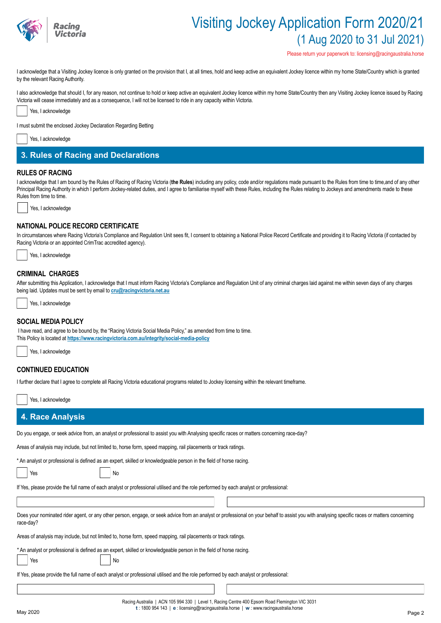

Please return your paperwork to: licensing@racingaustralia.horse

I acknowledge that a Visiting Jockey licence is only granted on the provision that I, at all times, hold and keep active an equivalent Jockey licence within my home State/Country which is granted by the relevant Racing Authority.

I also acknowledge that should I, for any reason, not continue to hold or keep active an equivalent Jockey licence within my home State/Country then any Visiting Jockey licence issued by Racing Victoria will cease immediately and as a consequence, I will not be licensed to ride in any capacity within Victoria.



I must submit the enclosed Jockey Declaration Regarding Betting



## **3. Rules of Racing and Declarations**

### **RULES OF RACING**

I acknowledge that I am bound by the Rules of Racing of Racing Victoria (the Rules) including any policy, code and/or regulations made pursuant to the Rules from time to time,and of any other Principal Racing Authority in which I perform Jockey-related duties, and I agree to familiarise myself with these Rules, including the Rules relating to Jockeys and amendments made to these Rules from time to time.

Yes, I acknowledge

### **NATIONAL POLICE RECORD CERTIFICATE**

In circumstances where Racing Victoria's Compliance and Regulation Unit sees fit, I consent to obtaining a National Police Record Certificate and providing it to Racing Victoria (if contacted by Racing Victoria or an appointed CrimTrac accredited agency).



### **CRIMINAL CHARGES**

After submitting this Application, I acknowledge that I must inform Racing Victoria's Compliance and Regulation Unit of any criminal charges laid against me within seven days of any charges being laid. Updates must be sent by email to **cru@racingvictoria.net.au**

Yes, I acknowledge

### **SOCIAL MEDIA POLICY**

 I have read, and agree to be bound by, the "Racing Victoria Social Media Policy," as amended from time to time. This Policy is located at **https://www.racingvictoria.com.au/integrity/social-media-policy**



## **CONTINUED EDUCATION**

| I further declare that I agree to complete all Racing Victoria educational programs related to Jockey licensing within the relevant timeframe.                                                             |  |  |  |  |  |  |  |
|------------------------------------------------------------------------------------------------------------------------------------------------------------------------------------------------------------|--|--|--|--|--|--|--|
| Yes, I acknowledge                                                                                                                                                                                         |  |  |  |  |  |  |  |
| <b>4. Race Analysis</b>                                                                                                                                                                                    |  |  |  |  |  |  |  |
| Do you engage, or seek advice from, an analyst or professional to assist you with Analysing specific races or matters concerning race-day?                                                                 |  |  |  |  |  |  |  |
| Areas of analysis may include, but not limited to, horse form, speed mapping, rail placements or track ratings.                                                                                            |  |  |  |  |  |  |  |
| * An analyst or professional is defined as an expert, skilled or knowledgeable person in the field of horse racing.<br>No<br>Yes                                                                           |  |  |  |  |  |  |  |
| If Yes, please provide the full name of each analyst or professional utilised and the role performed by each analyst or professional:                                                                      |  |  |  |  |  |  |  |
|                                                                                                                                                                                                            |  |  |  |  |  |  |  |
| Does your nominated rider agent, or any other person, engage, or seek advice from an analyst or professional on your behalf to assist you with analysing specific races or matters concerning<br>race-day? |  |  |  |  |  |  |  |
| Areas of analysis may include, but not limited to, horse form, speed mapping, rail placements or track ratings.                                                                                            |  |  |  |  |  |  |  |
| * An analyst or professional is defined as an expert, skilled or knowledgeable person in the field of horse racing.<br>No<br>Yes                                                                           |  |  |  |  |  |  |  |
| If Yes, please provide the full name of each analyst or professional utilised and the role performed by each analyst or professional:                                                                      |  |  |  |  |  |  |  |
|                                                                                                                                                                                                            |  |  |  |  |  |  |  |

Racing Australia | ACN 105 994 330 | Level 1, Racing Centre 400 Epsom Road Flemington VIC 3031 **t** : 1800 954 143 | **e** : licensing@racingaustralia.horse | **w** : www.racingaustralia.horse May 2020 **Page 2**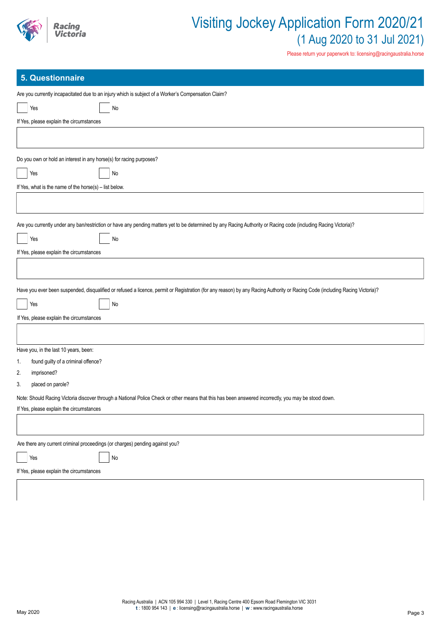

Please return your paperwork to: licensing@racingaustralia.horse

## **5. Questionnaire**

| Are you currently incapacitated due to an injury which is subject of a Worker's Compensation Claim?                                                                                              |
|--------------------------------------------------------------------------------------------------------------------------------------------------------------------------------------------------|
| Yes<br>No                                                                                                                                                                                        |
| If Yes, please explain the circumstances                                                                                                                                                         |
|                                                                                                                                                                                                  |
|                                                                                                                                                                                                  |
| Do you own or hold an interest in any horse(s) for racing purposes?                                                                                                                              |
| Yes<br>No                                                                                                                                                                                        |
| If Yes, what is the name of the horse(s) $-$ list below.                                                                                                                                         |
|                                                                                                                                                                                                  |
| Are you currently under any ban/restriction or have any pending matters yet to be determined by any Racing Authority or Racing code (including Racing Victoria)?                                 |
| Yes<br>No                                                                                                                                                                                        |
| If Yes, please explain the circumstances                                                                                                                                                         |
|                                                                                                                                                                                                  |
|                                                                                                                                                                                                  |
| Have you ever been suspended, disqualified or refused a licence, permit or Registration (for any reason) by any Racing Authority or Racing Code (including Racing Victoria)?                     |
| No<br>Yes                                                                                                                                                                                        |
| If Yes, please explain the circumstances                                                                                                                                                         |
|                                                                                                                                                                                                  |
|                                                                                                                                                                                                  |
| Have you, in the last 10 years, been:                                                                                                                                                            |
| found guilty of a criminal offence?<br>1.                                                                                                                                                        |
| 2.<br>imprisoned?<br>3.<br>placed on parole?                                                                                                                                                     |
|                                                                                                                                                                                                  |
| Note: Should Racing Victoria discover through a National Police Check or other means that this has been answered incorrectly, you may be stood down.<br>If Yes, please explain the circumstances |
|                                                                                                                                                                                                  |
|                                                                                                                                                                                                  |
| Are there any current criminal proceedings (or charges) pending against you?                                                                                                                     |
| No<br>Yes                                                                                                                                                                                        |
| If Yes, please explain the circumstances                                                                                                                                                         |
|                                                                                                                                                                                                  |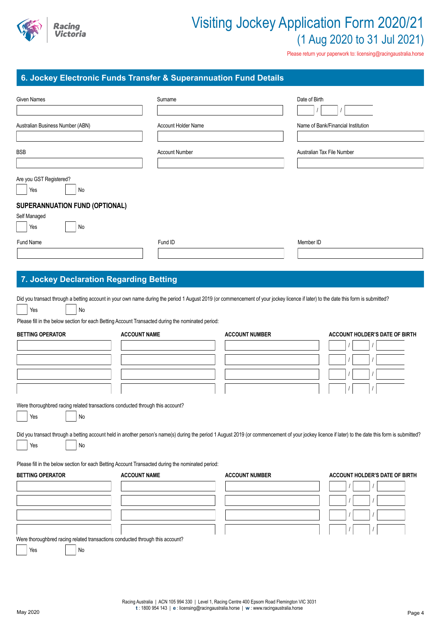

Please return your paperwork to: licensing@racingaustralia.horse

## **6. Jockey Electronic Funds Transfer & Superannuation Fund Details**

| <u>.</u>                                                                                                                                                                                       |                            |                       |                                                                                                                                                                                                   |
|------------------------------------------------------------------------------------------------------------------------------------------------------------------------------------------------|----------------------------|-----------------------|---------------------------------------------------------------------------------------------------------------------------------------------------------------------------------------------------|
| <b>Given Names</b>                                                                                                                                                                             | Surname                    |                       | Date of Birth                                                                                                                                                                                     |
| Australian Business Number (ABN)                                                                                                                                                               | <b>Account Holder Name</b> |                       | Name of Bank/Financial Institution                                                                                                                                                                |
|                                                                                                                                                                                                |                            |                       |                                                                                                                                                                                                   |
| <b>BSB</b>                                                                                                                                                                                     | <b>Account Number</b>      |                       | Australian Tax File Number                                                                                                                                                                        |
|                                                                                                                                                                                                |                            |                       |                                                                                                                                                                                                   |
| Are you GST Registered?<br>Yes<br>No                                                                                                                                                           |                            |                       |                                                                                                                                                                                                   |
| SUPERANNUATION FUND (OPTIONAL)                                                                                                                                                                 |                            |                       |                                                                                                                                                                                                   |
| Self Managed                                                                                                                                                                                   |                            |                       |                                                                                                                                                                                                   |
| Yes<br>No                                                                                                                                                                                      |                            |                       |                                                                                                                                                                                                   |
| Fund Name                                                                                                                                                                                      | Fund ID                    |                       | Member ID                                                                                                                                                                                         |
|                                                                                                                                                                                                |                            |                       |                                                                                                                                                                                                   |
|                                                                                                                                                                                                |                            |                       |                                                                                                                                                                                                   |
| 7. Jockey Declaration Regarding Betting                                                                                                                                                        |                            |                       |                                                                                                                                                                                                   |
| Did you transact through a betting account in your own name during the period 1 August 2019 (or commencement of your jockey licence if later) to the date this form is submitted?<br>No<br>Yes |                            |                       |                                                                                                                                                                                                   |
| Please fill in the below section for each Betting Account Transacted during the nominated period:                                                                                              |                            |                       |                                                                                                                                                                                                   |
| <b>BETTING OPERATOR</b>                                                                                                                                                                        | <b>ACCOUNT NAME</b>        | <b>ACCOUNT NUMBER</b> | <b>ACCOUNT HOLDER'S DATE OF BIRTH</b>                                                                                                                                                             |
|                                                                                                                                                                                                |                            |                       |                                                                                                                                                                                                   |
|                                                                                                                                                                                                |                            |                       |                                                                                                                                                                                                   |
|                                                                                                                                                                                                |                            |                       |                                                                                                                                                                                                   |
|                                                                                                                                                                                                |                            |                       |                                                                                                                                                                                                   |
|                                                                                                                                                                                                |                            |                       |                                                                                                                                                                                                   |
| Were thoroughbred racing related transactions conducted through this account?                                                                                                                  |                            |                       |                                                                                                                                                                                                   |
| No<br>Yes                                                                                                                                                                                      |                            |                       |                                                                                                                                                                                                   |
|                                                                                                                                                                                                |                            |                       |                                                                                                                                                                                                   |
|                                                                                                                                                                                                |                            |                       | Did you transact through a betting account held in another person's name(s) during the period 1 August 2019 (or commencement of your jockey licence if later) to the date this form is submitted? |
| Yes<br>No                                                                                                                                                                                      |                            |                       |                                                                                                                                                                                                   |

Please fill in the below section for each Betting Account Transacted during the nominated period:

| <b>BETTING OPERATOR</b>                                                       | <b>ACCOUNT NAME</b> | <b>ACCOUNT NUMBER</b> | <b>ACCOUNT HOLDER'S DATE OF BIRTH</b> |
|-------------------------------------------------------------------------------|---------------------|-----------------------|---------------------------------------|
|                                                                               |                     |                       |                                       |
|                                                                               |                     |                       |                                       |
|                                                                               |                     |                       |                                       |
|                                                                               |                     |                       |                                       |
| Were thoroughbred racing related transactions conducted through this account? |                     |                       |                                       |
| Yes<br>No                                                                     |                     |                       |                                       |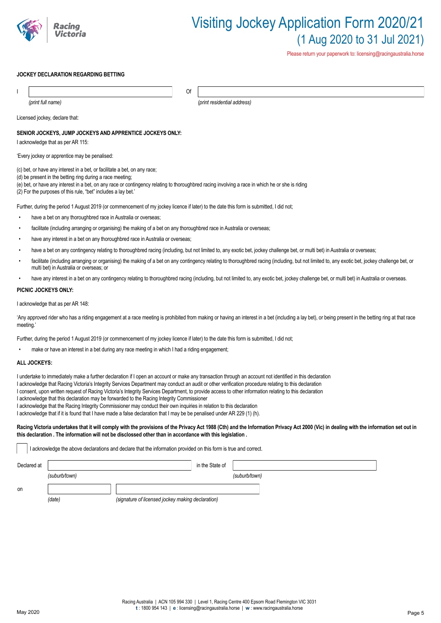

Please return your paperwork to: licensing@racingaustralia.horse

#### **JOCKEY DECLARATION REGARDING BETTING**

| Of                                                                                                                                                                                                                                                                                                                                                          |                                                                                                                                                                                                     |  |  |  |  |  |
|-------------------------------------------------------------------------------------------------------------------------------------------------------------------------------------------------------------------------------------------------------------------------------------------------------------------------------------------------------------|-----------------------------------------------------------------------------------------------------------------------------------------------------------------------------------------------------|--|--|--|--|--|
| (print full name)                                                                                                                                                                                                                                                                                                                                           | (print residential address)                                                                                                                                                                         |  |  |  |  |  |
| Licensed jockey, declare that:                                                                                                                                                                                                                                                                                                                              |                                                                                                                                                                                                     |  |  |  |  |  |
| SENIOR JOCKEYS, JUMP JOCKEYS AND APPRENTICE JOCKEYS ONLY:<br>I acknowledge that as per AR 115:                                                                                                                                                                                                                                                              |                                                                                                                                                                                                     |  |  |  |  |  |
| 'Every jockey or apprentice may be penalised:                                                                                                                                                                                                                                                                                                               |                                                                                                                                                                                                     |  |  |  |  |  |
| (c) bet, or have any interest in a bet, or facilitate a bet, on any race;<br>(d) be present in the betting ring during a race meeting;<br>(e) bet, or have any interest in a bet, on any race or contingency relating to thoroughbred racing involving a race in which he or she is riding<br>(2) For the purposes of this rule, "bet" includes a lay bet.' |                                                                                                                                                                                                     |  |  |  |  |  |
| Further, during the period 1 August 2019 (or commencement of my jockey licence if later) to the date this form is submitted. I did not:                                                                                                                                                                                                                     |                                                                                                                                                                                                     |  |  |  |  |  |
| have a bet on any thoroughbred race in Australia or overseas;                                                                                                                                                                                                                                                                                               |                                                                                                                                                                                                     |  |  |  |  |  |
| facilitate (including arranging or organising) the making of a bet on any thoroughbred race in Australia or overseas;                                                                                                                                                                                                                                       |                                                                                                                                                                                                     |  |  |  |  |  |
| have any interest in a bet on any thoroughbred race in Australia or overseas;                                                                                                                                                                                                                                                                               |                                                                                                                                                                                                     |  |  |  |  |  |
| have a bet on any contingency relating to thoroughbred racing (including, but not limited to, any exotic bet, jockey challenge bet, or multi bet) in Australia or overseas;                                                                                                                                                                                 |                                                                                                                                                                                                     |  |  |  |  |  |
| facilitate (including arranging or organising) the making of a bet on any contingency relating to thoroughbred racing (including, but not limited to, any exotic bet, jockey challenge bet, or<br>multi bet) in Australia or overseas; or                                                                                                                   |                                                                                                                                                                                                     |  |  |  |  |  |
| have any interest in a bet on any contingency relating to thoroughbred racing (including, but not limited to, any exotic bet, jockey challenge bet, or multi bet) in Australia or overseas.                                                                                                                                                                 |                                                                                                                                                                                                     |  |  |  |  |  |
| PICNIC JOCKEYS ONLY:                                                                                                                                                                                                                                                                                                                                        |                                                                                                                                                                                                     |  |  |  |  |  |
| I acknowledge that as per AR 148:                                                                                                                                                                                                                                                                                                                           |                                                                                                                                                                                                     |  |  |  |  |  |
|                                                                                                                                                                                                                                                                                                                                                             | 'Any annroved rider who has a riding engagement at a race meeting is probibited from making or baying an interest in a het (including a lay het), or heing present in the hetting ring at that race |  |  |  |  |  |

'Any approved rider who has a riding engagement at a race meeting is prohibited from making or having an interest in a bet (including a lay bet), or being present in the betting ring at that race meeting.'

Further, during the period 1 August 2019 (or commencement of my jockey licence if later) to the date this form is submitted, I did not;

make or have an interest in a bet during any race meeting in which I had a riding engagement;

### **ALL JOCKEYS:**

I undertake to immediately make a further declaration if I open an account or make any transaction through an account not identified in this declaration

- I acknowledge that Racing Victoria's Integrity Services Department may conduct an audit or other verification procedure relating to this declaration
- I consent, upon written request of Racing Victoria's Integrity Services Department, to provide access to other information relating to this declaration
- I acknowledge that this declaration may be forwarded to the Racing Integrity Commissioner
- I acknowledge that the Racing Integrity Commissioner may conduct their own inquiries in relation to this declaration

I acknowledge that if it is found that I have made a false declaration that I may be be penalised under AR 229 (1) (h).

#### Racing Victoria undertakes that it will comply with the provisions of the Privacy Act 1988 (Cth) and the Information Privacy Act 2000 (Vic) in dealing with the information set out in **this declaration . The information will not be disclossed other than in accordance with this legislation .**

I acknowledge the above declarations and declare that the information provided on this form is true and correct.

| Declared at |               |                                                   | in the State of |               |  |
|-------------|---------------|---------------------------------------------------|-----------------|---------------|--|
|             | (suburb/town) |                                                   |                 | (suburb/town) |  |
| on          | (date)        | (signature of licensed jockey making declaration) |                 |               |  |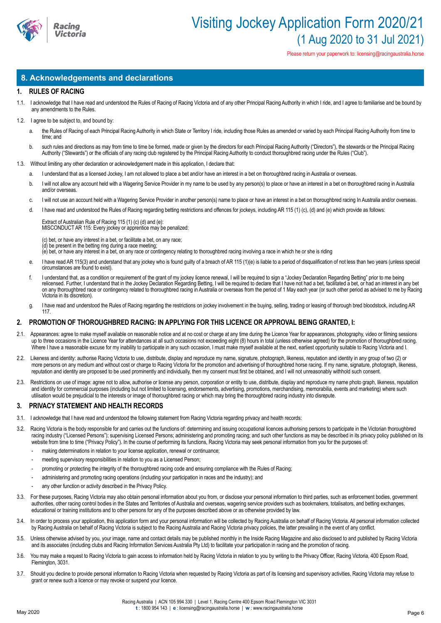

Please return your paperwork to: licensing@racingaustralia.horse

## **8. Acknowledgements and declarations**

#### **1. RULES OF RACING**

- 1.1. I acknowledge that I have read and understood the Rules of Racing of Racing Victoria and of any other Principal Racing Authority in which I ride, and I agree to familiarise and be bound by any amendments to the Rules.
- 1.2. I agree to be subject to, and bound by:
	- a. the Rules of Racing of each Principal Racing Authority in which State or Territory I ride, including those Rules as amended or varied by each Principal Racing Authority from time to time; and
	- b. such rules and directions as may from time to time be formed, made or given by the directors for each Principal Racing Authority ("Directors"), the stewards or the Principal Racing Authority ("Stewards") or the officials of any racing club registered by the Principal Racing Authority to conduct thoroughbred racing under the Rules ("Club").
- 1.3. Without limiting any other declaration or acknowledgement made in this application, I declare that:
	- a. I understand that as a licensed Jockey, I am not allowed to place a bet and/or have an interest in a bet on thoroughbred racing in Australia or overseas.
	- b. I will not allow any account held with a Wagering Service Provider in my name to be used by any person(s) to place or have an interest in a bet on thoroughbred racing in Australia and/or overseas.
	- c. I will not use an account held with a Wagering Service Provider in another person(s) name to place or have an interest in a bet on thoroughbred racing In Australia and/or overseas.
	- d. I have read and understood the Rules of Racing regarding betting restrictions and offences for jockeys, including AR 115 (1) (c), (d) and (e) which provide as follows:

Extract of Australian Rule of Racing 115 (1) (c) (d) and (e): MISCONDUCT AR 115: Every jockey or apprentice may be penalized:

(c) bet, or have any interest in a bet, or facilitate a bet, on any race; (d) be present in the betting ring during a race meeting; (e) bet, or have any interest in a bet, on any race or contingency relating to thoroughbred racing involving a race in which he or she is riding

- e. I have read AR 115(3) and understand that any jockey who is found guilty of a breach of AR 115 (1)(e) is liable to a period of disqualification of not less than two years (unless special circumstances are found to exist).
- f. I understand that, as a condition or requirement of the grant of my jockey licence renewal, I will be required to sign a "Jockey Declaration Regarding Betting" prior to me being relicensed. Further, I understand that in the Jockey Declaration Regarding Betting, I will be required to declare that I have not had a bet, facilitated a bet, or had an interest in any bet on any thoroughbred race or contingency related to thoroughbred racing in Australia or overseas from the period of 1 May each year (or such other period as advised to me by Racing Victoria in its discretion).
- g. I have read and understood the Rules of Racing regarding the restrictions on jockey involvement in the buying, selling, trading or leasing of thorough bred bloodstock, including AR 117.

### **2. PROMOTION OF THOROUGHBRED RACING: IN APPLYING FOR THIS LICENCE OR APPROVAL BEING GRANTED, I:**

- 2.1. Appearances: agree to make myself available on reasonable notice and at no cost or charge at any time during the Licence Year for appearances, photography, video or filming sessions up to three occasions in the Licence Year for attendances at all such occasions not exceeding eight (8) hours in total (unless otherwise agreed) for the promotion of thoroughbred racing. Where I have a reasonable excuse for my inability to participate in any such occasion, I must make myself available at the next, earliest opportunity suitable to Racing Victoria and I.
- 2.2. Likeness and identity: authorise Racing Victoria to use, distribute, display and reproduce my name, signature, photograph, likeness, reputation and identity in any group of two (2) or more persons on any medium and without cost or charge to Racing Victoria for the promotion and advertising of thoroughbred horse racing. If my name, signature, photograph, likeness, reputation and identity are proposed to be used prominently and individually, then my consent must first be obtained, and I will not unreasonably withhold such consent.
- 2.3. Restrictions on use of image: agree not to allow, authorise or license any person, corporation or entity to use, distribute, display and reproduce my name photo graph, likeness, reputation and identity for commercial purposes (including but not limited to licensing, endorsements, advertising, promotions, merchandising, memorabilia, events and marketing) where such utilisation would be prejudicial to the interests or image of thoroughbred racing or which may bring the thoroughbred racing industry into disrepute.

#### **3. PRIVACY STATEMENT AND HEALTH RECORDS**

- 3.1. I acknowledge that I have read and understood the following statement from Racing Victoria regarding privacy and health records:
- 3.2. Racing Victoria is the body responsible for and carries out the functions of: determining and issuing occupational licences authorising persons to participate in the Victorian thoroughbred racing industry ("Licensed Persons"); supervising Licensed Persons; administering and promoting racing; and such other functions as may be described in its privacy policy published on its website from time to time ("Privacy Policy"). In the course of performing its functions, Racing Victoria may seek personal information from you for the purposes of:
	- making determinations in relation to your license application, renewal or continuance;
	- meeting supervisory responsibilities in relation to you as a Licensed Person;
	- promoting or protecting the integrity of the thoroughbred racing code and ensuring compliance with the Rules of Racing;
	- administering and promoting racing operations (including your participation in races and the industry); and
	- any other function or activity described in the Privacy Policy.
- 3.3. For these purposes, Racing Victoria may also obtain personal information about you from, or disclose your personal information to third parties, such as enforcement bodies, government authorities, other racing control bodies in the States and Territories of Australia and overseas, wagering service providers such as bookmakers, totalisators, and betting exchanges, educational or training institutions and to other persons for any of the purposes described above or as otherwise provided by law.
- 3.4. In order to process your application, this application form and your personal information will be collected by Racing Australia on behalf of Racing Victoria. All personal information collected by Racing Australia on behalf of Racing Victoria is subject to the Racing Australia and Racing Victoria privacy policies, the latter prevailing in the event of any conflict.
- 3.5. Unless otherwise advised by you, your image, name and contact details may be published monthly in the Inside Racing Magazine and also disclosed to and published by Racing Victoria and its associates (including clubs and Racing Information Services Australia Pty Ltd) to facilitate your participation in racing and the promotion of racing.
- 3.6. You may make a request to Racing Victoria to gain access to information held by Racing Victoria in relation to you by writing to the Privacy Officer, Racing Victoria, 400 Epsom Road, Flemington, 3031.
- 3.7. Should you decline to provide personal information to Racing Victoria when requested by Racing Victoria as part of its licensing and supervisory activities, Racing Victoria may refuse to grant or renew such a licence or may revoke or suspend your licence.